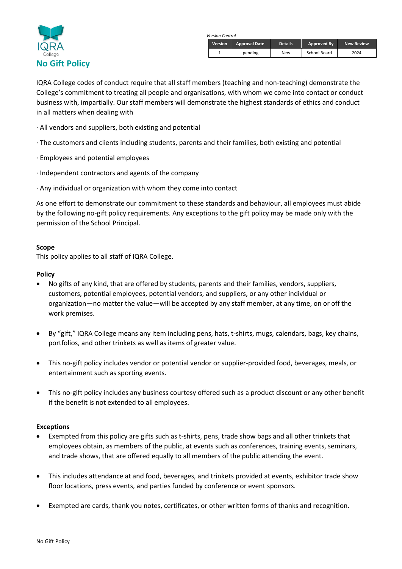

 *Version Control*

| <b>Version</b> | <b>Approval Date</b> | <b>Details</b> | Approved By  | <b>New Review</b> |
|----------------|----------------------|----------------|--------------|-------------------|
|                | pending              | New            | School Board | 2024              |

IQRA College codes of conduct require that all staff members (teaching and non-teaching) demonstrate the College's commitment to treating all people and organisations, with whom we come into contact or conduct business with, impartially. Our staff members will demonstrate the highest standards of ethics and conduct in all matters when dealing with

- · All vendors and suppliers, both existing and potential
- · The customers and clients including students, parents and their families, both existing and potential
- · Employees and potential employees
- · Independent contractors and agents of the company
- · Any individual or organization with whom they come into contact

As one effort to demonstrate our commitment to these standards and behaviour, all employees must abide by the following no-gift policy requirements. Any exceptions to the gift policy may be made only with the permission of the School Principal.

## **Scope**

This policy applies to all staff of IQRA College.

### **Policy**

- No gifts of any kind, that are offered by students, parents and their families, vendors, suppliers, customers, potential employees, potential vendors, and suppliers, or any other individual or organization—no matter the value—will be accepted by any staff member, at any time, on or off the work premises.
- By "gift," IQRA College means any item including pens, hats, t-shirts, mugs, calendars, bags, key chains, portfolios, and other trinkets as well as items of greater value.
- This no-gift policy includes vendor or potential vendor or supplier-provided food, beverages, meals, or entertainment such as sporting events.
- This no-gift policy includes any business courtesy offered such as a product discount or any other benefit if the benefit is not extended to all employees.

## **Exceptions**

- Exempted from this policy are gifts such as t-shirts, pens, trade show bags and all other trinkets that employees obtain, as members of the public, at events such as conferences, training events, seminars, and trade shows, that are offered equally to all members of the public attending the event.
- This includes attendance at and food, beverages, and trinkets provided at events, exhibitor trade show floor locations, press events, and parties funded by conference or event sponsors.
- Exempted are cards, thank you notes, certificates, or other written forms of thanks and recognition.